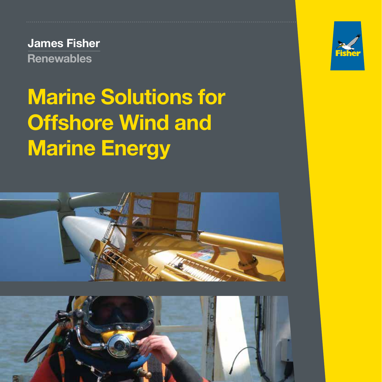**James Fisher Renewables**

# **Marine Solutions for Offshore Wind and Marine Energy**





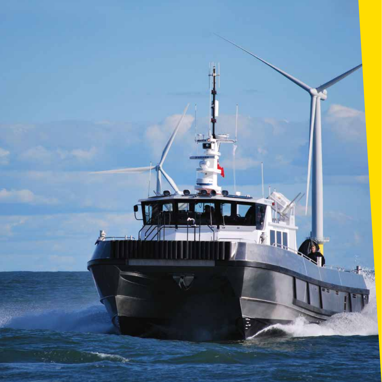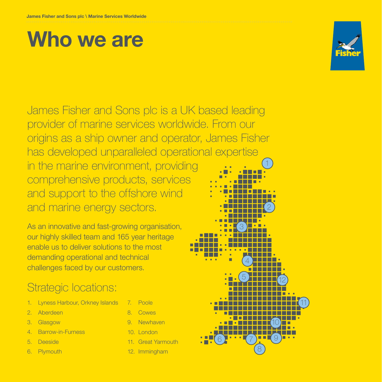### **Who we are**



James Fisher and Sons plc is a UK based leading provider of marine services worldwide. From our origins as a ship owner and operator, James Fisher has developed unparalleled operational expertise in the marine environment, providing comprehensive products, services and support to the offshore wind and marine energy sectors.

As an innovative and fast-growing organisation, our highly skilled team and 165 year heritage enable us to deliver solutions to the most demanding operational and technical challenges faced by our customers.

#### Strategic locations:

- 1. Lyness Harbour, Orkney Islands
- 2. Aberdeen
- 3. Glasgow
- 4. Barrow-in-Furness
- 5. Deeside
- 6. Plymouth
- 7. Poole
	- **Cowes**
	- 9. Newhaven
	- 10. London
	- 11. Great Yarmouth
	- 12. Immingham

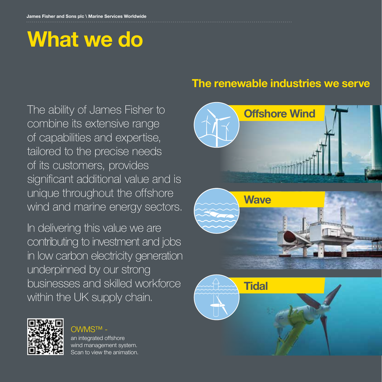### **What we do**

The ability of James Fisher to combine its extensive range of capabilities and expertise, tailored to the precise needs of its customers, provides significant additional value and is unique throughout the offshore wind and marine energy sectors.

In delivering this value we are contributing to investment and jobs in low carbon electricity generation underpinned by our strong businesses and skilled workforce within the UK supply chain.



#### OWMS™ -

an integrated offshore wind management system. Scan to view the animation.

#### **The renewable industries we serve**

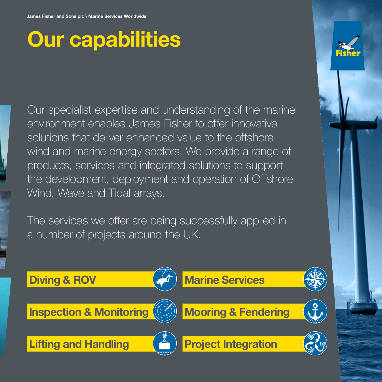## **Our capabilities**

Our specialist expertise and understanding of the marine environment enables James Fisher to offer innovative solutions that deliver enhanced value to the offshore wind and marine energy sectors. We provide a range of products, services and integrated solutions to support the development, deployment and operation of Offshore Wind, Wave and Tidal arrays.

The services we offer are being successfully applied in a number of projects around the UK.

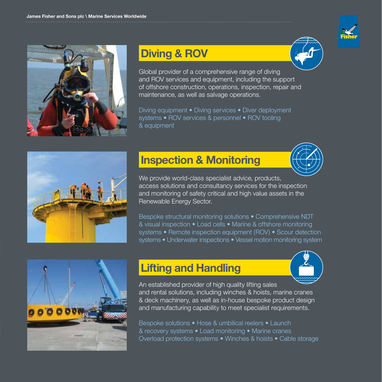

#### **Diving & ROV Diving & ROV**

Global provider of a comprehensive range of diving and ROV services and equipment, including the support of offshore construction, operations, inspection, repair and maintenance, as well as salvage operations.

Diving equipment • Diving services • Diver deployment systems • ROV services & personnel • ROV tooling & equipment



#### **Inspection & Monitoring Inspection & Monitoring**



We provide world-class specialist advice, products, access solutions and consultancy services for the inspection and monitoring of safety critical and high value assets in the Renewable Energy Sector.

Bespoke structural monitoring solutions • Comprehensive NDT & visual inspection • Load cells • Marine & offshore monitoring systems • Remote inspection equipment (ROV) • Scour detection systems • Underwater inspections • Vessel motion monitoring system



### **Lifting Lifting and Handling**



An established provider of high quality lifting sales and rental solutions, including winches & hoists, marine cranes & deck machinery, as well as in-house bespoke product design and manufacturing capability to meet specialist requirements.

Bespoke solutions • Hose & umbilical reelers • Launch & recovery systems • Load monitoring • Marine cranes Overload protection systems • Winches & hoists • Cable storage

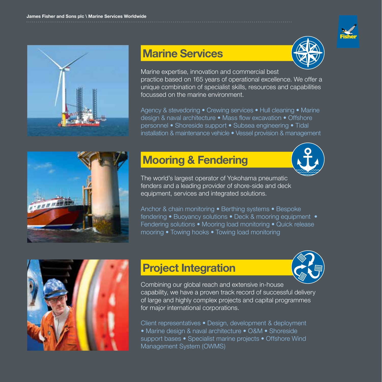

#### **Marine Services Marine Services**



Marine expertise, innovation and commercial best practice based on 165 years of operational excellence. We offer a unique combination of specialist skills, resources and capabilities focussed on the marine environment.

Agency & stevedoring • Crewing services • Hull cleaning • Marine design & naval architecture • Mass flow excavation • Offshore personnel • Shoreside support • Subsea engineering • Tidal installation & maintenance vehicle • Vessel provision & management



#### **Mooring & Fendering**



The world's largest operator of Yokohama pneumatic fenders and a leading provider of shore-side and deck equipment, services and integrated solutions.

Anchor & chain monitoring • Berthing systems • Bespoke fendering • Buoyancy solutions • Deck & mooring equipment • Fendering solutions • Mooring load monitoring • Quick release mooring • Towing hooks • Towing load monitoring



### **Project Integration Project Integration**



Combining our global reach and extensive in-house capability, we have a proven track record of successful delivery of large and highly complex projects and capital programmes for major international corporations.

Client representatives • Design, development & deployment • Marine design & naval architecture • O&M • Shoreside support bases • Specialist marine projects • Offshore Wind Management System (OWMS)